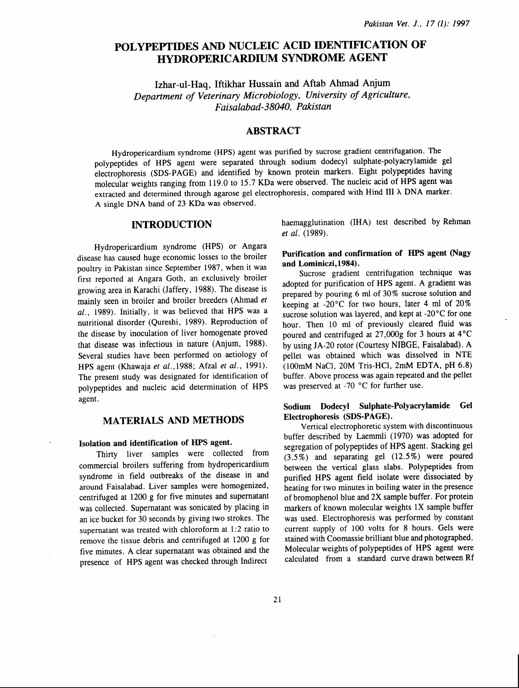# POLYPEPTIDES AND NUCLEIC ACID IDENTIFICATION OF HYDROPERICARDIUM SYNDROME AGENT

Izhar-ul-Haq, Iftikhar Hussain and Aftab Ahmad Anjum *Department of Veterinary Microbiology, University of Agriculture, Faisalabad-38040, Pakistan* 

# ABSTRACT

Hydropericardium syndrome (HPS) agent was purified by sucrose gradient centrifugation. The polypeptides of HPS agent were separated through sodium dodecyl sulphate-polyacrylamide gel electrophoresis (SDS-PAGE) and identified by known protein markers. Eight polypeptides having molecular weights ranging from 119.0 to 15.7 KDa were observed. The nucleic acid of HPS agent was extracted and determined through agarose gel electrophoresis, compared with Hind III A DNA marker. A single DNA band of 23 KDa was observed.

# INTRODUCTION

Hydropericardium syndrome (HPS) or Angara disease has caused huge economic losses to the broiler poultry in Pakistan since September 1987, when it was first reported at Angara Goth, an exclusively broiler growing area in Karachi (Jaffery, 1988). The disease is mainly seen in broiler and broiler breeders (Ahmad *et al.,* 1989). Initially, it was believed that HPS was a nutritional disorder (Qureshi, 1989). Reproduction of the disease by inoculation of liver homogenate proved that disease was infectious in nature (Anjum, 1988). Several studies have been performed on aetiology of HPS agent (Khawaja *et* a/.,1988; Afzal *et al.,* 1991). The present study was designated for identification of polypeptides and nucleic acid determination of HPS agent.

### MATERIALS AND METHODS

#### Isolation and identification of HPS agent.

Thirty liver samples were collected from commercial broilers suffering from hydropericardium syndrome in field outbreaks of the disease in and around Faisalabad. Liver samples were homogenized, centrifuged at 1200 g for five minutes and supernatant was collected. Supernatant was sonicated by placing in an ice bucket for 30 seconds by giving two strokes. The supernatant was treated with chloroform at 1:2 ratio to remove the tissue debris and centrifuged at 1200 g for five minutes. A clear supernatant was obtained and the presence of HPS agent was checked through Indirect

haemagglutination (IHA) test described by Rehman *et* al. (1989).

## Purification and confirmation of HPS agent (Nagy and Lominiczi,1984).

Sucrose gradient centrifugation technique was adopted for purification of HPS agent. A gradient was prepared by pouring 6 ml of 30% sucrose solution and keeping at -20°C for two hours, later 4 ml of 20% sucrose solution was layered, and kept at -20<sup>°</sup>C for one hour. Then 10 ml of previously cleared fluid was poured and centrifuged at  $27,000g$  for 3 hours at  $4^{\circ}$ C by using JA-20 rotor' (Courtesy NIBGE, Faisalabad). A pellet was obtained which was dissolved in NTE (lOOmM NaCl, 20M Tris-HCl, 2mM EDTA, pH 6.8) buffer. Above process was again repeated and the pellet was preserved at -70  $^{\circ}$ C for further use.

# Sodium Dodecyl Sulphate-Polyacrylamide Gel Electrophoresis (SDS-PAGE).

Vertical electrophoretic system with discontinuous buffer described by Laemmli ( 1970) was adopted for segregation of polypeptides of HPS agent. Stacking gel (3. 5%) and separating gel (12. 5%) were poured between the vertical glass slabs. Polypeptides from purified HPS agent field isolate were dissociated by heating for two minutes in boiling water in the presence of bromophenol blue and 2X sample buffer. For protein markers of known molecular weights 1X sample buffer was used. Electrophoresis was performed by constant current supply of 100 volts for 8 hours. Gels were stained with Coomassie brilliant blue and photographed. Molecular weights of polypeptides of HPS agent were calculated from a standard curve drawn between Rf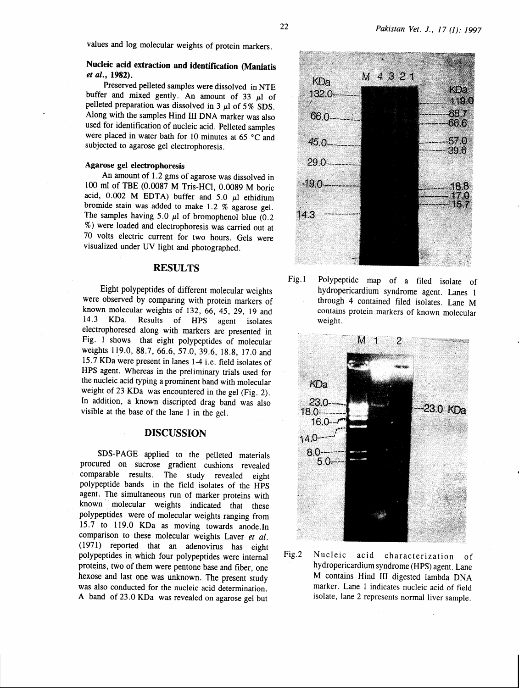# Nucleic acid extraction and identification (Maniatis *et al.,* 1982).

Preserved pelleted samples were dissolved in NTE buffer and mixed gently. An amount of 33  $\mu$ l of pelleted preparation was dissolved in 3  $\mu$ l of 5% SDS. Along with the samples Hind III DNA marker was also used for identification of nucleic acid. Pelleted samples were placed in water bath for 10 minutes at 65  $^{\circ}$ C and subjected to agarose gel electrophoresis.

### Agarose gel electrophoresis

An amount of 1.2 gms of agarose was dissolved in 100 ml of TBE (0.0087 M Tris-HCI, 0.0089 M boric acid,  $0.002$  M EDTA) buffer and  $5.0$   $\mu$ l ethidium bromide stain was added to make 1.2 % agarose gel. The samples having 5.0  $\mu$ l of bromophenol blue (0.2) %) were loaded and electrophoresis was carried out at 70 volts electric current for two hours. Gels were visualized under UV light and photographed.

## **RESULTS**

Eight polypeptides of different molecular weights were observed by comparing with protein markers of known molecular weights of 132, 66, 45, 29, 19 and 14.3 KDa. Results of HPS agent isolates Results of HPS agent isolates electrophoresed along with markers are presented in Fig. 1 shows that eight polypeptides of molecular weights 119.0, 88.7, 66.6, 57.0, 39.6, 18.8, 17.0 and 15.7 KDa were present in lanes 1-4 i.e. field isolates of HPS agent. Whereas in the preliminary trials used for the nucleic acid typing a prominent band with molecular weight of 23 KDa was encountered in the gel (Fig. 2). In addition, a known discripted drag band was also visible at the base of the lane 1 in the gel.

## DISCUSSION

SDS-PAGE applied to the pelleted materials procured on sucrose gradient cushions revealed comparable results. The study revealed eight polypeptide bands in the field isolates of the HPS agent. The simultaneous run of marker proteins with known molecular weights indicated that these polypeptides were of molecular weights ranging from 15.7 to 119.0 KDa as moving towards anode.ln comparison to these molecular weights Laver *et al.*  ( 1971) reported that an adenovirus has eight polypeptides in which four polypeptides were internal proteins, two of them were pentone base and fiber, one hexose and last one was unknown. The present study was also conducted for the nucleic acid determination. A band of 23.0 KDa was revealed on agarose gel but



Fig.l Polypeptide map of a filed isolate of hydropericardium syndrome agent. Lanes 1 through 4 contained filed isolates. Lane M contains protein markers of known molecular weight.



Fig.2 Nucleic acid characterization of hydropericardium syndrome (HPS) agent. Lane M contains Hind III digested lambda DNA marker. Lane 1 indicates nucleic acid of field isolate, lane 2 represents normal liver sample.